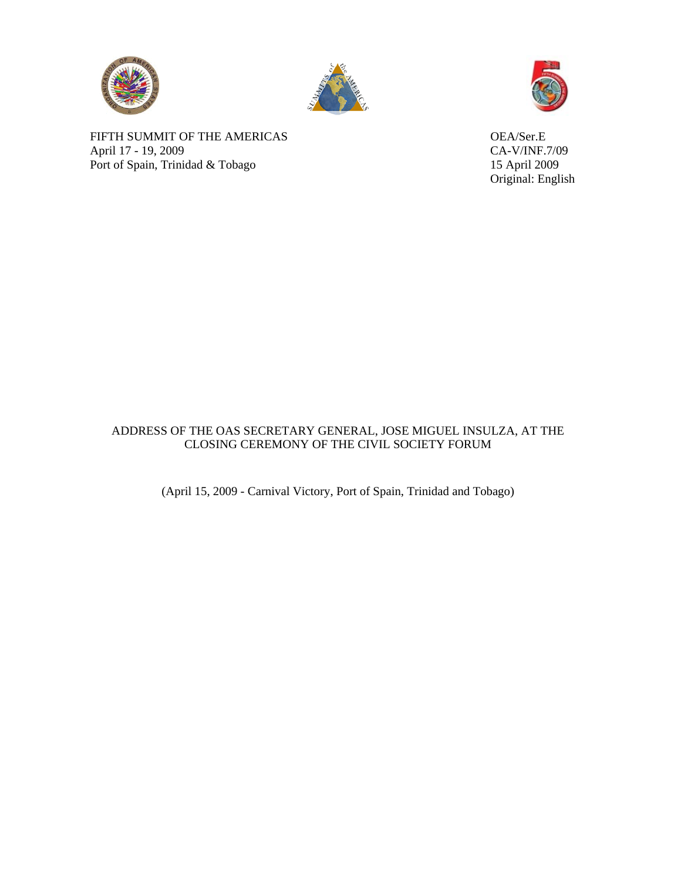





Original: English

FIFTH SUMMIT OF THE AMERICAS OEA/Ser.E April 17 - 19, 2009<br>
Port of Spain, Trinidad & Tobago<br>
15 April 2009 Port of Spain, Trinidad & Tobago

## ADDRESS OF THE OAS SECRETARY GENERAL, JOSE MIGUEL INSULZA, AT THE CLOSING CEREMONY OF THE CIVIL SOCIETY FORUM

(April 15, 2009 - Carnival Victory, Port of Spain, Trinidad and Tobago)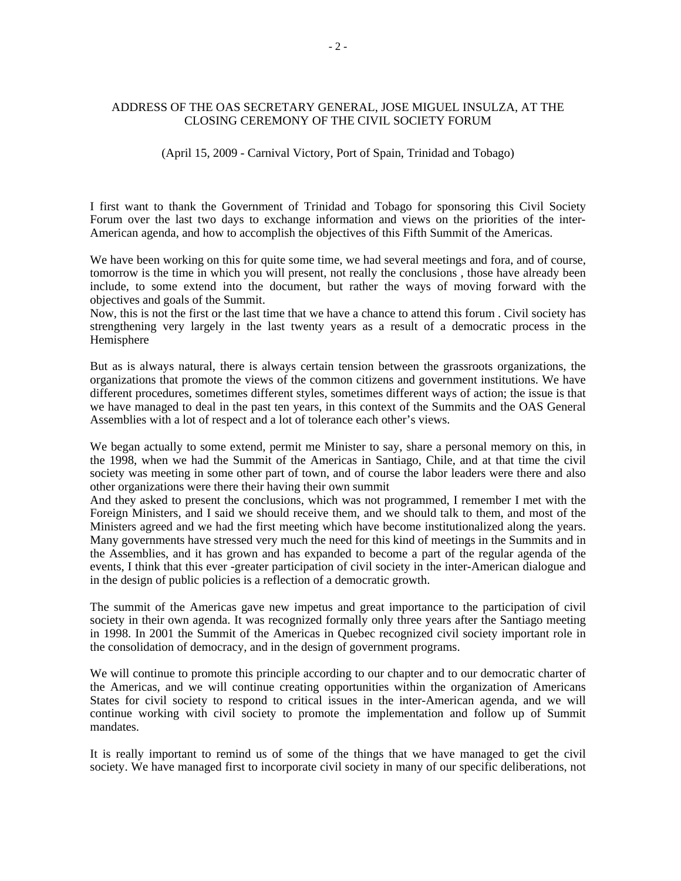## ADDRESS OF THE OAS SECRETARY GENERAL, JOSE MIGUEL INSULZA, AT THE CLOSING CEREMONY OF THE CIVIL SOCIETY FORUM

## (April 15, 2009 - Carnival Victory, Port of Spain, Trinidad and Tobago)

I first want to thank the Government of Trinidad and Tobago for sponsoring this Civil Society Forum over the last two days to exchange information and views on the priorities of the inter-American agenda, and how to accomplish the objectives of this Fifth Summit of the Americas.

We have been working on this for quite some time, we had several meetings and fora, and of course, tomorrow is the time in which you will present, not really the conclusions , those have already been include, to some extend into the document, but rather the ways of moving forward with the objectives and goals of the Summit.

Now, this is not the first or the last time that we have a chance to attend this forum . Civil society has strengthening very largely in the last twenty years as a result of a democratic process in the Hemisphere

But as is always natural, there is always certain tension between the grassroots organizations, the organizations that promote the views of the common citizens and government institutions. We have different procedures, sometimes different styles, sometimes different ways of action; the issue is that we have managed to deal in the past ten years, in this context of the Summits and the OAS General Assemblies with a lot of respect and a lot of tolerance each other's views.

We began actually to some extend, permit me Minister to say, share a personal memory on this, in the 1998, when we had the Summit of the Americas in Santiago, Chile, and at that time the civil society was meeting in some other part of town, and of course the labor leaders were there and also other organizations were there their having their own summit

And they asked to present the conclusions, which was not programmed, I remember I met with the Foreign Ministers, and I said we should receive them, and we should talk to them, and most of the Ministers agreed and we had the first meeting which have become institutionalized along the years. Many governments have stressed very much the need for this kind of meetings in the Summits and in the Assemblies, and it has grown and has expanded to become a part of the regular agenda of the events, I think that this ever -greater participation of civil society in the inter-American dialogue and in the design of public policies is a reflection of a democratic growth.

The summit of the Americas gave new impetus and great importance to the participation of civil society in their own agenda. It was recognized formally only three years after the Santiago meeting in 1998. In 2001 the Summit of the Americas in Quebec recognized civil society important role in the consolidation of democracy, and in the design of government programs.

We will continue to promote this principle according to our chapter and to our democratic charter of the Americas, and we will continue creating opportunities within the organization of Americans States for civil society to respond to critical issues in the inter-American agenda, and we will continue working with civil society to promote the implementation and follow up of Summit mandates.

It is really important to remind us of some of the things that we have managed to get the civil society. We have managed first to incorporate civil society in many of our specific deliberations, not